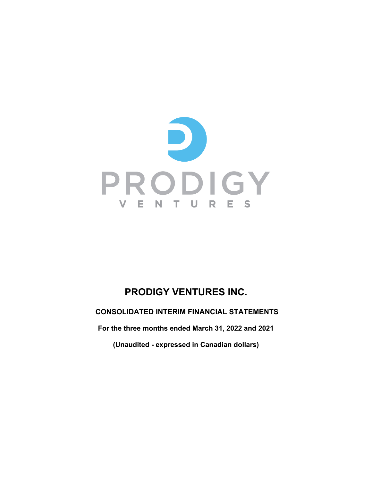

# **PRODIGY VENTURES INC.**

**CONSOLIDATED INTERIM FINANCIAL STATEMENTS**

**For the three months ended March 31, 2022 and 2021**

**(Unaudited - expressed in Canadian dollars)**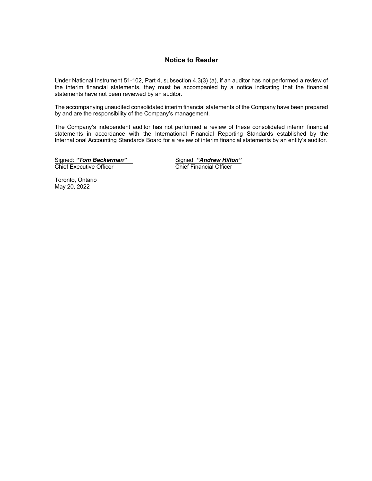# **Notice to Reader**

Under National Instrument 51-102, Part 4, subsection 4.3(3) (a), if an auditor has not performed a review of the interim financial statements, they must be accompanied by a notice indicating that the financial statements have not been reviewed by an auditor.

The accompanying unaudited consolidated interim financial statements of the Company have been prepared by and are the responsibility of the Company's management.

The Company's independent auditor has not performed a review of these consolidated interim financial statements in accordance with the International Financial Reporting Standards established by the International Accounting Standards Board for a review of interim financial statements by an entity's auditor.

Signed: *"Tom Beckerman"*<br>
Chief Executive Officer

Signed: "Andrew Hilton"<br>Chief Financial Officer

Toronto, Ontario May 20, 2022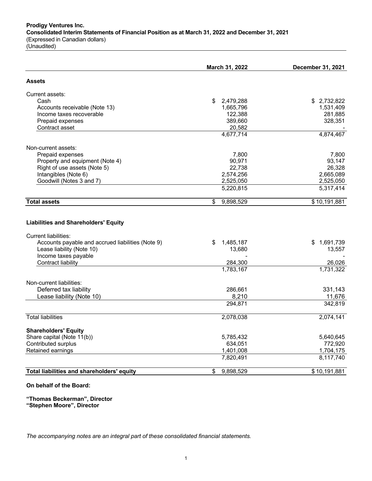**Prodigy Ventures Inc. Consolidated Interim Statements of Financial Position as at March 31, 2022 and December 31, 2021** (Expressed in Canadian dollars) (Unaudited)

|                                                                            | March 31, 2022  | December 31, 2021 |
|----------------------------------------------------------------------------|-----------------|-------------------|
| <b>Assets</b>                                                              |                 |                   |
| Current assets:                                                            |                 |                   |
| Cash                                                                       | \$<br>2,479,288 | \$2,732,822       |
| Accounts receivable (Note 13)                                              | 1,665,796       | 1,531,409         |
| Income taxes recoverable                                                   | 122,388         | 281,885           |
| Prepaid expenses                                                           | 389,660         | 328,351           |
| Contract asset                                                             | 20,582          |                   |
|                                                                            | 4,677,714       | 4,874,467         |
| Non-current assets:                                                        |                 |                   |
| Prepaid expenses                                                           | 7,800           | 7,800             |
| Property and equipment (Note 4)                                            | 90,971          | 93.147            |
| Right of use assets (Note 5)                                               | 22,738          | 26,328            |
| Intangibles (Note 6)                                                       | 2,574,256       | 2,665,089         |
| Goodwill (Notes 3 and 7)                                                   | 2,525,050       | 2,525,050         |
|                                                                            | 5,220,815       | 5,317,414         |
| <b>Total assets</b>                                                        | 9,898,529<br>\$ | \$10,191,881      |
| <b>Liabilities and Shareholders' Equity</b><br><b>Current liabilities:</b> |                 |                   |
| Accounts payable and accrued liabilities (Note 9)                          | \$<br>1,485,187 | \$<br>1,691,739   |
| Lease liability (Note 10)                                                  | 13,680          | 13,557            |
| Income taxes payable                                                       |                 |                   |
| Contract liability                                                         | 284,300         | 26,026            |
|                                                                            | 1,783,167       | 1,731,322         |
| Non-current liabilities:                                                   |                 |                   |
| Deferred tax liability                                                     | 286,661         | 331,143           |
| Lease liability (Note 10)                                                  | 8,210           | 11,676            |
|                                                                            | 294,871         | 342,819           |
| <b>Total liabilities</b>                                                   | 2,078,038       | 2,074,141         |
| <b>Shareholders' Equity</b>                                                |                 |                   |
| Share capital (Note 11(b))                                                 | 5,785,432       | 5,640,645         |
| Contributed surplus                                                        | 634,051         | 772,920           |
| Retained earnings                                                          | 1,401,008       | 1,704,175         |
|                                                                            | 7,820,491       | 8,117,740         |
| Total liabilities and shareholders' equity                                 | \$<br>9,898,529 | \$10,191,881      |

# **On behalf of the Board:**

**"Thomas Beckerman", Director "Stephen Moore", Director**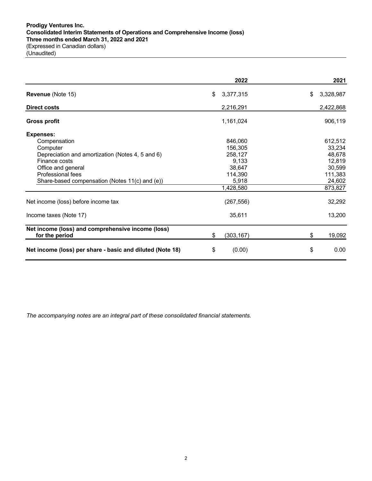|                                                           | 2022             | 2021            |
|-----------------------------------------------------------|------------------|-----------------|
| Revenue (Note 15)                                         | \$<br>3,377,315  | \$<br>3,328,987 |
| <b>Direct costs</b>                                       | 2,216,291        | 2,422,868       |
| <b>Gross profit</b>                                       | 1,161,024        | 906,119         |
| <b>Expenses:</b>                                          |                  |                 |
| Compensation                                              | 846,060          | 612,512         |
| Computer                                                  | 156,305          | 33,234          |
| Depreciation and amortization (Notes 4, 5 and 6)          | 258,127          | 48,678          |
| Finance costs                                             | 9,133            | 12,819          |
| Office and general                                        | 38,647           | 30,599          |
| Professional fees                                         | 114,390          | 111,383         |
| Share-based compensation (Notes 11(c) and (e))            | 5,918            | 24,602          |
|                                                           | 1,428,580        | 873,827         |
| Net income (loss) before income tax                       | (267, 556)       | 32,292          |
| Income taxes (Note 17)                                    | 35,611           | 13,200          |
| Net income (loss) and comprehensive income (loss)         |                  |                 |
| for the period                                            | \$<br>(303, 167) | \$<br>19,092    |
| Net income (loss) per share - basic and diluted (Note 18) | \$<br>(0.00)     | \$<br>0.00      |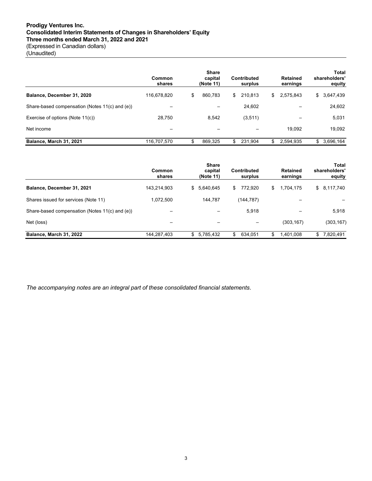# **Prodigy Ventures Inc. Consolidated Interim Statements of Changes in Shareholders' Equity Three months ended March 31, 2022 and 2021** (Expressed in Canadian dollars)

(Unaudited)

|                                                | Common<br>shares | <b>Share</b><br>capital<br>(Note 11) | Contributed<br>surplus |     | Retained<br>earnings | Total<br>shareholders'<br>equity |
|------------------------------------------------|------------------|--------------------------------------|------------------------|-----|----------------------|----------------------------------|
| Balance, December 31, 2020                     | 116,678,820      | \$<br>860,783                        | \$<br>210,813          | \$  | 2,575,843            | \$<br>3,647,439                  |
| Share-based compensation (Notes 11(c) and (e)) |                  |                                      | 24,602                 |     |                      | 24,602                           |
| Exercise of options (Note 11(c))               | 28.750           | 8.542                                | (3,511)                |     |                      | 5,031                            |
| Net income                                     |                  |                                      |                        |     | 19.092               | 19,092                           |
| Balance, March 31, 2021                        | 116,707,570      | 869.325                              | \$<br>231.904          | \$. | 2,594,935            | \$<br>3,696,164                  |

|                                                | Common<br>shares | <b>Share</b><br>capital<br>(Note 11) | Contributed<br>surplus | <b>Retained</b><br>earnings | Total<br>shareholders'<br>equity |
|------------------------------------------------|------------------|--------------------------------------|------------------------|-----------------------------|----------------------------------|
| Balance, December 31, 2021                     | 143,214,903      | 5,640,645<br>\$                      | 772.920<br>\$          | 1,704,175<br>\$.            | \$8,117,740                      |
| Shares issued for services (Note 11)           | 1,072,500        | 144.787                              | (144,787)              |                             |                                  |
| Share-based compensation (Notes 11(c) and (e)) |                  |                                      | 5,918                  |                             | 5,918                            |
| Net (loss)                                     |                  |                                      |                        | (303, 167)                  | (303, 167)                       |
| Balance, March 31, 2022                        | 144.287.403      | \$<br>5,785,432                      | \$<br>634.051          | \$<br>1.401.008             | 7.820.491<br>S.                  |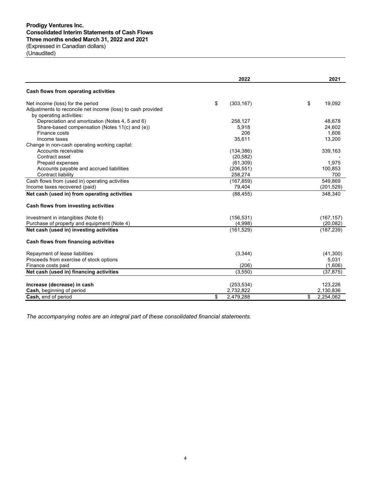# **Prodigy Ventures Inc. Consolidated Interim Statements of Cash Flows Three months ended March 31, 2022 and 2021** (Expressed in Canadian dollars)

| (Unaudited) |  |
|-------------|--|
|-------------|--|

|                                                                                                                             | 2022                                | 2021                         |
|-----------------------------------------------------------------------------------------------------------------------------|-------------------------------------|------------------------------|
| Cash flows from operating activities                                                                                        |                                     |                              |
| Net income (loss) for the period<br>Adjustments to reconcile net income (loss) to cash provided<br>by operating activities: | \$<br>(303, 167)                    | \$<br>19,092                 |
| Depreciation and amortization (Notes 4, 5 and 6)<br>Share-based compensation (Notes 11(c) and (e))<br>Finance costs         | 258,127<br>5,918<br>206             | 48,678<br>24,602<br>1.606    |
| Income taxes<br>Change in non-cash operating working capital:<br>Accounts receivable                                        | 35,611<br>(134, 386)                | 13,200<br>339,163            |
| Contract asset<br>Prepaid expenses                                                                                          | (20, 582)<br>(61, 309)              | 1,975                        |
| Accounts payable and accrued liabilities<br>Contract liability<br>Cash flows from (used in) operating activities            | (206, 551)<br>258,274<br>(167, 859) | 100,853<br>700<br>549,869    |
| Income taxes recovered (paid)<br>Net cash (used in) from operating activities                                               | 79,404<br>(88, 455)                 | (201, 529)<br>348,340        |
| Cash flows from investing activities                                                                                        |                                     |                              |
| Investment in intangibles (Note 6)<br>Purchase of property and equipment (Note 4)                                           | (156, 531)<br>(4,998)               | (167, 157)<br>(20, 082)      |
| Net cash (used in) investing activities                                                                                     | (161, 529)                          | (187, 239)                   |
| Cash flows from financing activities                                                                                        |                                     |                              |
| Repayment of lease liabilities<br>Proceeds from exercise of stock options<br>Finance costs paid                             | (3, 344)<br>(206)                   | (41,300)<br>5,031<br>(1,606) |
| Net cash (used in) financing activities                                                                                     | (3,550)                             | (37, 875)                    |
| Increase (decrease) in cash<br>Cash, beginning of period                                                                    | (253, 534)<br>2,732,822             | 123,226<br>2,130,836         |
| Cash, end of period                                                                                                         | \$<br>2,479,288                     | \$<br>2,254,062              |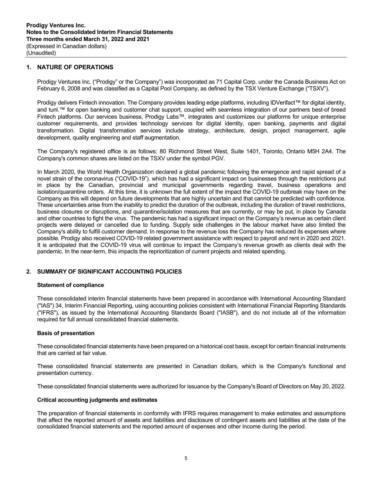# **1. NATURE OF OPERATIONS**

Prodigy Ventures Inc. ("Prodigy" or the Company") was incorporated as 71 Capital Corp. under the Canada Business Act on February 6, 2008 and was classified as a Capital Pool Company, as defined by the TSX Venture Exchange ("TSXV").

Prodigy delivers Fintech innovation. The Company provides leading edge platforms, including IDVerifact™ for digital identity, and tunl.™ for open banking and customer chat support, coupled with seamless integration of our partners best-of breed Fintech platforms. Our services business, Prodigy Labs™, integrates and customizes our platforms for unique enterprise customer requirements, and provides technology services for digital identity, open banking, payments and digital transformation. Digital transformation services include strategy, architecture, design, project management, agile development, quality engineering and staff augmentation.

The Company's registered office is as follows: 80 Richmond Street West, Suite 1401, Toronto, Ontario M5H 2A4. The Company's common shares are listed on the TSXV under the symbol PGV.

In March 2020, the World Health Organization declared a global pandemic following the emergence and rapid spread of a novel strain of the coronavirus ("COVID-19"). which has had a significant impact on businesses through the restrictions put in place by the Canadian, provincial and municipal governments regarding travel, business operations and isolation/quarantine orders. At this time, it is unknown the full extent of the impact the COVID-19 outbreak may have on the Company as this will depend on future developments that are highly uncertain and that cannot be predicted with confidence. These uncertainties arise from the inability to predict the duration of the outbreak, including the duration of travel restrictions, business closures or disruptions, and quarantine/isolation measures that are currently, or may be put, in place by Canada and other countries to fight the virus. The pandemic has had a significant impact on the Company's revenue as certain client projects were delayed or cancelled due to funding. Supply side challenges in the labour market have also limited the Company's ability to fulfill customer demand. In response to the revenue loss the Company has reduced its expenses where possible. Prodigy also received COVID-19 related government assistance with respect to payroll and rent in 2020 and 2021. It is anticipated that the COVID-19 virus will continue to impact the Company's revenue growth as clients deal with the pandemic. In the near-term, this impacts the reprioritization of current projects and related spending.

# **2. SUMMARY OF SIGNIFICANT ACCOUNTING POLICIES**

### **Statement of compliance**

These consolidated interim financial statements have been prepared in accordance with International Accounting Standard ("IAS") 34, Interim Financial Reporting, using accounting policies consistent with International Financial Reporting Standards ("IFRS"), as issued by the International Accounting Standards Board ("IASB"), and do not include all of the information required for full annual consolidated financial statements.

### **Basis of presentation**

These consolidated financial statements have been prepared on a historical cost basis, except for certain financial instruments that are carried at fair value.

These consolidated financial statements are presented in Canadian dollars, which is the Company's functional and presentation currency.

These consolidated financial statements were authorized for issuance by the Company's Board of Directors on May 20, 2022.

### **Critical accounting judgments and estimates**

The preparation of financial statements in conformity with IFRS requires management to make estimates and assumptions that affect the reported amount of assets and liabilities and disclosure of contingent assets and liabilities at the date of the consolidated financial statements and the reported amount of expenses and other income during the period.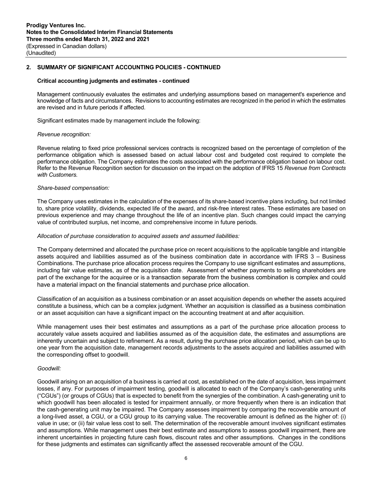#### **Critical accounting judgments and estimates - continued**

Management continuously evaluates the estimates and underlying assumptions based on management's experience and knowledge of facts and circumstances. Revisions to accounting estimates are recognized in the period in which the estimates are revised and in future periods if affected.

Significant estimates made by management include the following:

#### *Revenue recognition:*

Revenue relating to fixed price professional services contracts is recognized based on the percentage of completion of the performance obligation which is assessed based on actual labour cost and budgeted cost required to complete the performance obligation. The Company estimates the costs associated with the performance obligation based on labour cost. Refer to the Revenue Recognition section for discussion on the impact on the adoption of IFRS 15 *Revenue from Contracts with Customers.*

#### *Share-based compensation:*

The Company uses estimates in the calculation of the expenses of its share-based incentive plans including, but not limited to, share price volatility, dividends, expected life of the award, and risk-free interest rates. These estimates are based on previous experience and may change throughout the life of an incentive plan. Such changes could impact the carrying value of contributed surplus, net income, and comprehensive income in future periods.

#### *Allocation of purchase consideration to acquired assets and assumed liabilities:*

The Company determined and allocated the purchase price on recent acquisitions to the applicable tangible and intangible assets acquired and liabilities assumed as of the business combination date in accordance with IFRS 3 – Business Combinations. The purchase price allocation process requires the Company to use significant estimates and assumptions, including fair value estimates, as of the acquisition date. Assessment of whether payments to selling shareholders are part of the exchange for the acquiree or is a transaction separate from the business combination is complex and could have a material impact on the financial statements and purchase price allocation.

Classification of an acquisition as a business combination or an asset acquisition depends on whether the assets acquired constitute a business, which can be a complex judgment. Whether an acquisition is classified as a business combination or an asset acquisition can have a significant impact on the accounting treatment at and after acquisition.

While management uses their best estimates and assumptions as a part of the purchase price allocation process to accurately value assets acquired and liabilities assumed as of the acquisition date, the estimates and assumptions are inherently uncertain and subject to refinement. As a result, during the purchase price allocation period, which can be up to one year from the acquisition date, management records adjustments to the assets acquired and liabilities assumed with the corresponding offset to goodwill.

#### *Goodwill:*

Goodwill arising on an acquisition of a business is carried at cost, as established on the date of acquisition, less impairment losses, if any. For purposes of impairment testing, goodwill is allocated to each of the Company's cash-generating units ("CGUs") (or groups of CGUs) that is expected to benefit from the synergies of the combination. A cash-generating unit to which goodwill has been allocated is tested for impairment annually, or more frequently when there is an indication that the cash-generating unit may be impaired. The Company assesses impairment by comparing the recoverable amount of a long-lived asset, a CGU, or a CGU group to its carrying value. The recoverable amount is defined as the higher of: (i) value in use; or (ii) fair value less cost to sell. The determination of the recoverable amount involves significant estimates and assumptions. While management uses their best estimate and assumptions to assess goodwill impairment, there are inherent uncertainties in projecting future cash flows, discount rates and other assumptions. Changes in the conditions for these judgments and estimates can significantly affect the assessed recoverable amount of the CGU.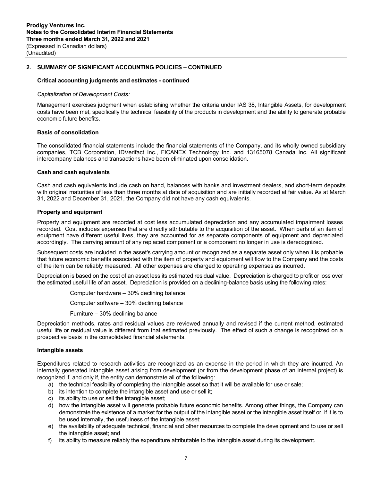#### **Critical accounting judgments and estimates - continued**

#### *Capitalization of Development Costs:*

Management exercises judgment when establishing whether the criteria under IAS 38, Intangible Assets, for development costs have been met, specifically the technical feasibility of the products in development and the ability to generate probable economic future benefits.

#### **Basis of consolidation**

The consolidated financial statements include the financial statements of the Company, and its wholly owned subsidiary companies, TCB Corporation, IDVerifact Inc., FICANEX Technology Inc. and 13165078 Canada Inc. All significant intercompany balances and transactions have been eliminated upon consolidation.

#### **Cash and cash equivalents**

Cash and cash equivalents include cash on hand, balances with banks and investment dealers, and short-term deposits with original maturities of less than three months at date of acquisition and are initially recorded at fair value. As at March 31, 2022 and December 31, 2021, the Company did not have any cash equivalents.

### **Property and equipment**

Property and equipment are recorded at cost less accumulated depreciation and any accumulated impairment losses recorded. Cost includes expenses that are directly attributable to the acquisition of the asset. When parts of an item of equipment have different useful lives, they are accounted for as separate components of equipment and depreciated accordingly. The carrying amount of any replaced component or a component no longer in use is derecognized.

Subsequent costs are included in the asset's carrying amount or recognized as a separate asset only when it is probable that future economic benefits associated with the item of property and equipment will flow to the Company and the costs of the item can be reliably measured. All other expenses are charged to operating expenses as incurred.

Depreciation is based on the cost of an asset less its estimated residual value. Depreciation is charged to profit or loss over the estimated useful life of an asset. Depreciation is provided on a declining-balance basis using the following rates:

Computer hardware – 30% declining balance

Computer software – 30% declining balance

Furniture – 30% declining balance

Depreciation methods, rates and residual values are reviewed annually and revised if the current method, estimated useful life or residual value is different from that estimated previously. The effect of such a change is recognized on a prospective basis in the consolidated financial statements.

### **Intangible assets**

Expenditures related to research activities are recognized as an expense in the period in which they are incurred. An internally generated intangible asset arising from development (or from the development phase of an internal project) is recognized if, and only if, the entity can demonstrate all of the following:

- a) the technical feasibility of completing the intangible asset so that it will be available for use or sale;
- b) its intention to complete the intangible asset and use or sell it;
- c) its ability to use or sell the intangible asset;
- d) how the intangible asset will generate probable future economic benefits. Among other things, the Company can demonstrate the existence of a market for the output of the intangible asset or the intangible asset itself or, if it is to be used internally, the usefulness of the intangible asset;
- e) the availability of adequate technical, financial and other resources to complete the development and to use or sell the intangible asset; and
- f) its ability to measure reliably the expenditure attributable to the intangible asset during its development.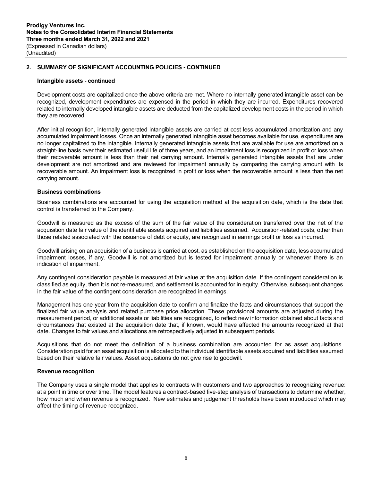#### **Intangible assets - continued**

Development costs are capitalized once the above criteria are met. Where no internally generated intangible asset can be recognized, development expenditures are expensed in the period in which they are incurred. Expenditures recovered related to internally developed intangible assets are deducted from the capitalized development costs in the period in which they are recovered.

After initial recognition, internally generated intangible assets are carried at cost less accumulated amortization and any accumulated impairment losses. Once an internally generated intangible asset becomes available for use, expenditures are no longer capitalized to the intangible. Internally generated intangible assets that are available for use are amortized on a straight-line basis over their estimated useful life of three years, and an impairment loss is recognized in profit or loss when their recoverable amount is less than their net carrying amount. Internally generated intangible assets that are under development are not amortized and are reviewed for impairment annually by comparing the carrying amount with its recoverable amount. An impairment loss is recognized in profit or loss when the recoverable amount is less than the net carrying amount.

#### **Business combinations**

Business combinations are accounted for using the acquisition method at the acquisition date, which is the date that control is transferred to the Company.

Goodwill is measured as the excess of the sum of the fair value of the consideration transferred over the net of the acquisition date fair value of the identifiable assets acquired and liabilities assumed. Acquisition-related costs, other than those related associated with the issuance of debt or equity, are recognized in earnings profit or loss as incurred.

Goodwill arising on an acquisition of a business is carried at cost, as established on the acquisition date, less accumulated impairment losses, if any. Goodwill is not amortized but is tested for impairment annually or whenever there is an indication of impairment.

Any contingent consideration payable is measured at fair value at the acquisition date. If the contingent consideration is classified as equity, then it is not re-measured, and settlement is accounted for in equity. Otherwise, subsequent changes in the fair value of the contingent consideration are recognized in earnings.

Management has one year from the acquisition date to confirm and finalize the facts and circumstances that support the finalized fair value analysis and related purchase price allocation. These provisional amounts are adjusted during the measurement period, or additional assets or liabilities are recognized, to reflect new information obtained about facts and circumstances that existed at the acquisition date that, if known, would have affected the amounts recognized at that date. Changes to fair values and allocations are retrospectively adjusted in subsequent periods.

Acquisitions that do not meet the definition of a business combination are accounted for as asset acquisitions. Consideration paid for an asset acquisition is allocated to the individual identifiable assets acquired and liabilities assumed based on their relative fair values. Asset acquisitions do not give rise to goodwill.

### **Revenue recognition**

The Company uses a single model that applies to contracts with customers and two approaches to recognizing revenue: at a point in time or over time. The model features a contract-based five-step analysis of transactions to determine whether, how much and when revenue is recognized. New estimates and judgement thresholds have been introduced which may affect the timing of revenue recognized.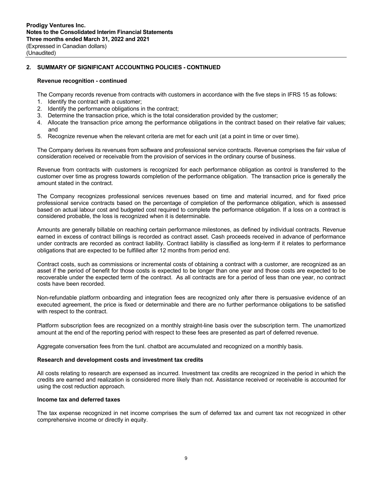# **Revenue recognition - continued**

The Company records revenue from contracts with customers in accordance with the five steps in IFRS 15 as follows:

- 1. Identify the contract with a customer;
- 2. Identify the performance obligations in the contract;
- 3. Determine the transaction price, which is the total consideration provided by the customer;
- 4. Allocate the transaction price among the performance obligations in the contract based on their relative fair values; and
- 5. Recognize revenue when the relevant criteria are met for each unit (at a point in time or over time).

The Company derives its revenues from software and professional service contracts. Revenue comprises the fair value of consideration received or receivable from the provision of services in the ordinary course of business.

Revenue from contracts with customers is recognized for each performance obligation as control is transferred to the customer over time as progress towards completion of the performance obligation. The transaction price is generally the amount stated in the contract.

The Company recognizes professional services revenues based on time and material incurred, and for fixed price professional service contracts based on the percentage of completion of the performance obligation, which is assessed based on actual labour cost and budgeted cost required to complete the performance obligation. If a loss on a contract is considered probable, the loss is recognized when it is determinable.

Amounts are generally billable on reaching certain performance milestones, as defined by individual contracts. Revenue earned in excess of contract billings is recorded as contract asset. Cash proceeds received in advance of performance under contracts are recorded as contract liability. Contract liability is classified as long-term if it relates to performance obligations that are expected to be fulfilled after 12 months from period end.

Contract costs, such as commissions or incremental costs of obtaining a contract with a customer, are recognized as an asset if the period of benefit for those costs is expected to be longer than one year and those costs are expected to be recoverable under the expected term of the contract. As all contracts are for a period of less than one year, no contract costs have been recorded.

Non-refundable platform onboarding and integration fees are recognized only after there is persuasive evidence of an executed agreement, the price is fixed or determinable and there are no further performance obligations to be satisfied with respect to the contract.

Platform subscription fees are recognized on a monthly straight-line basis over the subscription term. The unamortized amount at the end of the reporting period with respect to these fees are presented as part of deferred revenue.

Aggregate conversation fees from the tunl. chatbot are accumulated and recognized on a monthly basis.

### **Research and development costs and investment tax credits**

All costs relating to research are expensed as incurred. Investment tax credits are recognized in the period in which the credits are earned and realization is considered more likely than not. Assistance received or receivable is accounted for using the cost reduction approach.

### **Income tax and deferred taxes**

The tax expense recognized in net income comprises the sum of deferred tax and current tax not recognized in other comprehensive income or directly in equity.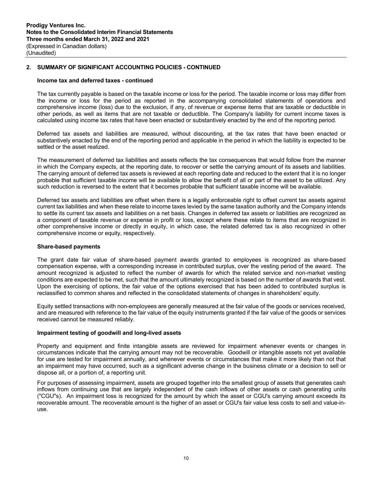## **Income tax and deferred taxes - continued**

The tax currently payable is based on the taxable income or loss for the period. The taxable income or loss may differ from the income or loss for the period as reported in the accompanying consolidated statements of operations and comprehensive income (loss) due to the exclusion, if any, of revenue or expense items that are taxable or deductible in other periods, as well as items that are not taxable or deductible. The Company's liability for current income taxes is calculated using income tax rates that have been enacted or substantively enacted by the end of the reporting period.

Deferred tax assets and liabilities are measured, without discounting, at the tax rates that have been enacted or substantively enacted by the end of the reporting period and applicable in the period in which the liability is expected to be settled or the asset realized.

The measurement of deferred tax liabilities and assets reflects the tax consequences that would follow from the manner in which the Company expects, at the reporting date, to recover or settle the carrying amount of its assets and liabilities. The carrying amount of deferred tax assets is reviewed at each reporting date and reduced to the extent that it is no longer probable that sufficient taxable income will be available to allow the benefit of all or part of the asset to be utilized. Any such reduction is reversed to the extent that it becomes probable that sufficient taxable income will be available.

Deferred tax assets and liabilities are offset when there is a legally enforceable right to offset current tax assets against current tax liabilities and when these relate to income taxes levied by the same taxation authority and the Company intends to settle its current tax assets and liabilities on a net basis. Changes in deferred tax assets or liabilities are recognized as a component of taxable revenue or expense in profit or loss, except where these relate to items that are recognized in other comprehensive income or directly in equity, in which case, the related deferred tax is also recognized in other comprehensive income or equity, respectively.

### **Share-based payments**

The grant date fair value of share-based payment awards granted to employees is recognized as share-based compensation expense, with a corresponding increase in contributed surplus, over the vesting period of the award. The amount recognized is adjusted to reflect the number of awards for which the related service and non-market vesting conditions are expected to be met, such that the amount ultimately recognized is based on the number of awards that vest. Upon the exercising of options, the fair value of the options exercised that has been added to contributed surplus is reclassified to common shares and reflected in the consolidated statements of changes in shareholders' equity.

Equity settled transactions with non-employees are generally measured at the fair value of the goods or services received, and are measured with reference to the fair value of the equity instruments granted if the fair value of the goods or services received cannot be measured reliably.

### **Impairment testing of goodwill and long-lived assets**

Property and equipment and finite intangible assets are reviewed for impairment whenever events or changes in circumstances indicate that the carrying amount may not be recoverable. Goodwill or intangible assets not yet available for use are tested for impairment annually, and whenever events or circumstances that make it more likely than not that an impairment may have occurred, such as a significant adverse change in the business climate or a decision to sell or dispose all, or a portion of, a reporting unit.

For purposes of assessing impairment, assets are grouped together into the smallest group of assets that generates cash inflows from continuing use that are largely independent of the cash inflows of other assets or cash generating units ("CGU"s). An impairment loss is recognized for the amount by which the asset or CGU's carrying amount exceeds its recoverable amount. The recoverable amount is the higher of an asset or CGU's fair value less costs to sell and value-inuse.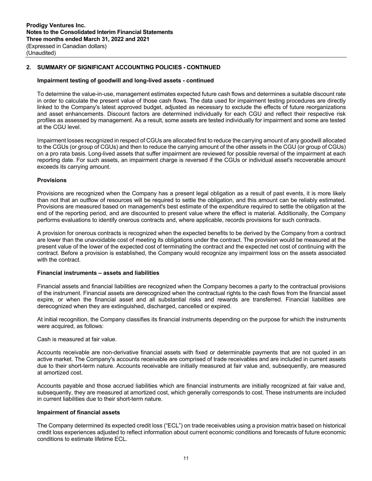### **Impairment testing of goodwill and long-lived assets - continued**

To determine the value-in-use, management estimates expected future cash flows and determines a suitable discount rate in order to calculate the present value of those cash flows. The data used for impairment testing procedures are directly linked to the Company's latest approved budget, adjusted as necessary to exclude the effects of future reorganizations and asset enhancements. Discount factors are determined individually for each CGU and reflect their respective risk profiles as assessed by management. As a result, some assets are tested individually for impairment and some are tested at the CGU level.

Impairment losses recognized in respect of CGUs are allocated first to reduce the carrying amount of any goodwill allocated to the CGUs (or group of CGUs) and then to reduce the carrying amount of the other assets in the CGU (or group of CGUs) on a pro rata basis. Long-lived assets that suffer impairment are reviewed for possible reversal of the impairment at each reporting date. For such assets, an impairment charge is reversed if the CGUs or individual asset's recoverable amount exceeds its carrying amount.

#### **Provisions**

Provisions are recognized when the Company has a present legal obligation as a result of past events, it is more likely than not that an outflow of resources will be required to settle the obligation, and this amount can be reliably estimated. Provisions are measured based on management's best estimate of the expenditure required to settle the obligation at the end of the reporting period, and are discounted to present value where the effect is material. Additionally, the Company performs evaluations to identify onerous contracts and, where applicable, records provisions for such contracts.

A provision for onerous contracts is recognized when the expected benefits to be derived by the Company from a contract are lower than the unavoidable cost of meeting its obligations under the contract. The provision would be measured at the present value of the lower of the expected cost of terminating the contract and the expected net cost of continuing with the contract. Before a provision is established, the Company would recognize any impairment loss on the assets associated with the contract.

#### **Financial instruments – assets and liabilities**

Financial assets and financial liabilities are recognized when the Company becomes a party to the contractual provisions of the instrument. Financial assets are derecognized when the contractual rights to the cash flows from the financial asset expire, or when the financial asset and all substantial risks and rewards are transferred. Financial liabilities are derecognized when they are extinguished, discharged, cancelled or expired.

At initial recognition, the Company classifies its financial instruments depending on the purpose for which the instruments were acquired, as follows:

#### Cash is measured at fair value.

Accounts receivable are non-derivative financial assets with fixed or determinable payments that are not quoted in an active market. The Company's accounts receivable are comprised of trade receivables and are included in current assets due to their short-term nature. Accounts receivable are initially measured at fair value and, subsequently, are measured at amortized cost.

Accounts payable and those accrued liabilities which are financial instruments are initially recognized at fair value and, subsequently, they are measured at amortized cost, which generally corresponds to cost. These instruments are included in current liabilities due to their short-term nature.

# **Impairment of financial assets**

The Company determined its expected credit loss ("ECL") on trade receivables using a provision matrix based on historical credit loss experiences adjusted to reflect information about current economic conditions and forecasts of future economic conditions to estimate lifetime ECL.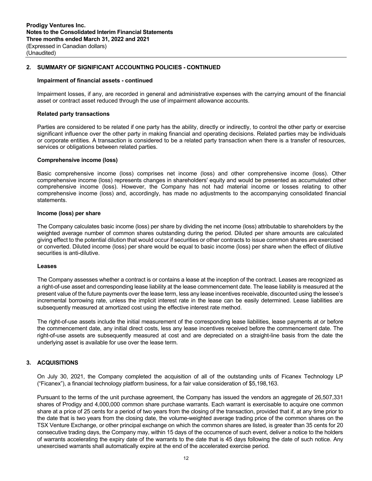#### **Impairment of financial assets - continued**

Impairment losses, if any, are recorded in general and administrative expenses with the carrying amount of the financial asset or contract asset reduced through the use of impairment allowance accounts.

#### **Related party transactions**

Parties are considered to be related if one party has the ability, directly or indirectly, to control the other party or exercise significant influence over the other party in making financial and operating decisions. Related parties may be individuals or corporate entities. A transaction is considered to be a related party transaction when there is a transfer of resources, services or obligations between related parties.

#### **Comprehensive income (loss)**

Basic comprehensive income (loss) comprises net income (loss) and other comprehensive income (loss). Other comprehensive income (loss) represents changes in shareholders' equity and would be presented as accumulated other comprehensive income (loss). However, the Company has not had material income or losses relating to other comprehensive income (loss) and, accordingly, has made no adjustments to the accompanying consolidated financial statements.

# **Income (loss) per share**

The Company calculates basic income (loss) per share by dividing the net income (loss) attributable to shareholders by the weighted average number of common shares outstanding during the period. Diluted per share amounts are calculated giving effect to the potential dilution that would occur if securities or other contracts to issue common shares are exercised or converted. Diluted income (loss) per share would be equal to basic income (loss) per share when the effect of dilutive securities is anti-dilutive.

#### **Leases**

The Company assesses whether a contract is or contains a lease at the inception of the contract. Leases are recognized as a right-of-use asset and corresponding lease liability at the lease commencement date. The lease liability is measured at the present value of the future payments over the lease term, less any lease incentives receivable, discounted using the lessee's incremental borrowing rate, unless the implicit interest rate in the lease can be easily determined. Lease liabilities are subsequently measured at amortized cost using the effective interest rate method.

The right-of-use assets include the initial measurement of the corresponding lease liabilities, lease payments at or before the commencement date, any initial direct costs, less any lease incentives received before the commencement date. The right-of-use assets are subsequently measured at cost and are depreciated on a straight-line basis from the date the underlying asset is available for use over the lease term.

# **3. ACQUISITIONS**

On July 30, 2021, the Company completed the acquisition of all of the outstanding units of Ficanex Technology LP ("Ficanex"), a financial technology platform business, for a fair value consideration of \$5,198,163.

Pursuant to the terms of the unit purchase agreement, the Company has issued the vendors an aggregate of 26,507,331 shares of Prodigy and 4,000,000 common share purchase warrants. Each warrant is exercisable to acquire one common share at a price of 25 cents for a period of two years from the closing of the transaction, provided that if, at any time prior to the date that is two years from the closing date, the volume-weighted average trading price of the common shares on the TSX Venture Exchange, or other principal exchange on which the common shares are listed, is greater than 35 cents for 20 consecutive trading days, the Company may, within 15 days of the occurrence of such event, deliver a notice to the holders of warrants accelerating the expiry date of the warrants to the date that is 45 days following the date of such notice. Any unexercised warrants shall automatically expire at the end of the accelerated exercise period.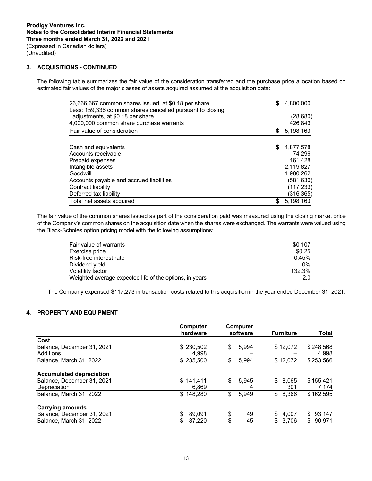# **3. ACQUISITIONS - CONTINUED**

The following table summarizes the fair value of the consideration transferred and the purchase price allocation based on estimated fair values of the major classes of assets acquired assumed at the acquisition date:

| 26,666,667 common shares issued, at \$0.18 per share      | \$<br>4,800,000 |
|-----------------------------------------------------------|-----------------|
| Less: 159,336 common shares cancelled pursuant to closing |                 |
| adjustments, at \$0.18 per share                          | (28, 680)       |
| 4,000,000 common share purchase warrants                  | 426,843         |
| Fair value of consideration                               | \$<br>5,198,163 |
|                                                           |                 |
| Cash and equivalents                                      | \$<br>1,877,578 |
| Accounts receivable                                       | 74.296          |
| Prepaid expenses                                          | 161,428         |
| Intangible assets                                         | 2,119,827       |
| Goodwill                                                  | 1,980,262       |
| Accounts payable and accrued liabilities                  | (581,630)       |
| Contract liability                                        | (117, 233)      |
| Deferred tax liability                                    | (316,365)       |
| Total net assets acquired                                 | \$<br>5.198.163 |

The fair value of the common shares issued as part of the consideration paid was measured using the closing market price of the Company's common shares on the acquisition date when the shares were exchanged. The warrants were valued using the Black-Scholes option pricing model with the following assumptions:

| Fair value of warrants                                  | \$0.107 |
|---------------------------------------------------------|---------|
| Exercise price                                          | \$0.25  |
| Risk-free interest rate                                 | 0.45%   |
| Dividend yield                                          | $0\%$   |
| Volatility factor                                       | 132.3%  |
| Weighted average expected life of the options, in years | 2.0     |
|                                                         |         |

The Company expensed \$117,273 in transaction costs related to this acquisition in the year ended December 31, 2021.

# **4. PROPERTY AND EQUIPMENT**

|                                 | Computer<br>hardware | <b>Computer</b><br>software | <b>Furniture</b> | <b>Total</b> |  |
|---------------------------------|----------------------|-----------------------------|------------------|--------------|--|
| Cost                            |                      |                             |                  |              |  |
| Balance, December 31, 2021      | \$230,502            | \$<br>5,994                 | \$12,072         | \$248,568    |  |
| Additions                       | 4.998                |                             |                  | 4,998        |  |
| Balance, March 31, 2022         | \$235,500            | \$<br>5,994                 | \$12,072         | \$253,566    |  |
| <b>Accumulated depreciation</b> |                      |                             |                  |              |  |
| Balance, December 31, 2021      | \$141.411            | \$<br>5.945                 | \$<br>8.065      | \$155.421    |  |
| Depreciation                    | 6.869                | 4                           | 301              | 7,174        |  |
| Balance, March 31, 2022         | \$148,280            | \$<br>5.949                 | 8,366<br>\$      | \$162,595    |  |
| <b>Carrying amounts</b>         |                      |                             |                  |              |  |
| Balance, December 31, 2021      | \$<br>89.091         | \$<br>49                    | 4,007<br>\$.     | \$<br>93,147 |  |
| Balance, March 31, 2022         | \$<br>87,220         | \$<br>45                    | \$<br>3,706      | \$<br>90,971 |  |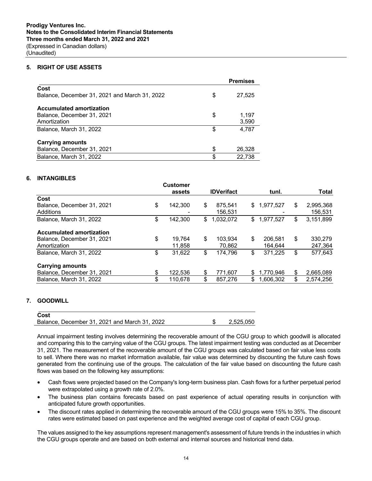# **5. RIGHT OF USE ASSETS**

|                                               |    | <b>Premises</b> |
|-----------------------------------------------|----|-----------------|
| Cost                                          |    |                 |
| Balance, December 31, 2021 and March 31, 2022 | S  | 27,525          |
| <b>Accumulated amortization</b>               |    |                 |
| Balance, December 31, 2021                    | \$ | 1,197           |
| Amortization                                  |    | 3,590           |
| Balance, March 31, 2022                       | S  | 4,787           |
| <b>Carrying amounts</b>                       |    |                 |
| Balance, December 31, 2021                    | \$ | 26,328          |
| Balance, March 31, 2022                       | \$ | 22,738          |

# **6. INTANGIBLES**

|                                 | <b>Customer</b> |                   |                 |    |              |
|---------------------------------|-----------------|-------------------|-----------------|----|--------------|
|                                 | assets          | <b>IDVerifact</b> | tunl.           |    | <b>Total</b> |
| Cost                            |                 |                   |                 |    |              |
| Balance, December 31, 2021      | \$<br>142,300   | \$<br>875,541     | \$<br>1,977,527 | S  | 2,995,368    |
| Additions                       |                 | 156.531           |                 |    | 156,531      |
| Balance, March 31, 2022         | \$<br>142,300   | \$<br>1.032.072   | \$<br>1,977,527 | \$ | 3,151,899    |
| <b>Accumulated amortization</b> |                 |                   |                 |    |              |
| Balance, December 31, 2021      | \$<br>19.764    | \$<br>103.934     | \$<br>206.581   | \$ | 330.279      |
| Amortization                    | 11,858          | 70,862            | 164,644         |    | 247,364      |
| Balance, March 31, 2022         | \$<br>31,622    | \$<br>174,796     | \$<br>371,225   | \$ | 577,643      |
| <b>Carrying amounts</b>         |                 |                   |                 |    |              |
| Balance, December 31, 2021      | \$<br>122.536   | \$<br>771.607     | \$<br>1.770.946 | \$ | 2,665,089    |
| Balance, March 31, 2022         | \$<br>110.678   | \$<br>857,276     | \$<br>1.606.302 | \$ | 2,574,256    |

# **7. GOODWILL**

| Cost                                          |           |
|-----------------------------------------------|-----------|
| Balance, December 31, 2021 and March 31, 2022 | 2.525.050 |

Annual impairment testing involves determining the recoverable amount of the CGU group to which goodwill is allocated and comparing this to the carrying value of the CGU groups. The latest impairment testing was conducted as at December 31, 2021. The measurement of the recoverable amount of the CGU groups was calculated based on fair value less costs to sell. Where there was no market information available, fair value was determined by discounting the future cash flows generated from the continuing use of the groups. The calculation of the fair value based on discounting the future cash flows was based on the following key assumptions:

- Cash flows were projected based on the Company's long-term business plan. Cash flows for a further perpetual period were extrapolated using a growth rate of 2.0%.
- The business plan contains forecasts based on past experience of actual operating results in conjunction with anticipated future growth opportunities.
- The discount rates applied in determining the recoverable amount of the CGU groups were 15% to 35%. The discount rates were estimated based on past experience and the weighted average cost of capital of each CGU group.

The values assigned to the key assumptions represent management's assessment of future trends in the industries in which the CGU groups operate and are based on both external and internal sources and historical trend data.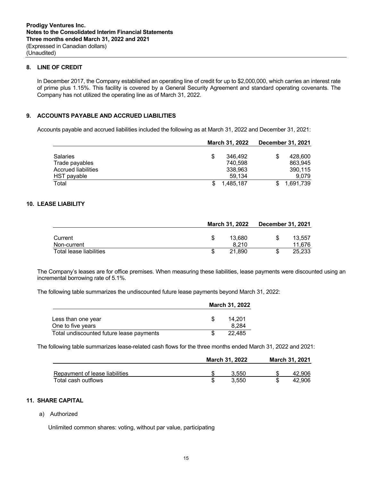# **8. LINE OF CREDIT**

In December 2017, the Company established an operating line of credit for up to \$2,000,000, which carries an interest rate of prime plus 1.15%. This facility is covered by a General Security Agreement and standard operating covenants. The Company has not utilized the operating line as of March 31, 2022.

# **9. ACCOUNTS PAYABLE AND ACCRUED LIABILITIES**

Accounts payable and accrued liabilities included the following as at March 31, 2022 and December 31, 2021:

|                     | March 31, 2022 |  | <b>December 31, 2021</b> |
|---------------------|----------------|--|--------------------------|
|                     |                |  |                          |
| <b>Salaries</b>     | \$<br>346.492  |  | 428.600                  |
| Trade payables      | 740.598        |  | 863.945                  |
| Accrued liabilities | 338.963        |  | 390.115                  |
| HST payable         | 59.134         |  | 9.079                    |
| Total               | 1.485.187      |  | 1.691.739                |

# **10. LEASE LIABILITY**

|                         | <b>March 31, 2022</b> |  | <b>December 31, 2021</b> |
|-------------------------|-----------------------|--|--------------------------|
|                         |                       |  |                          |
| Current                 | 13.680                |  | 13.557                   |
| Non-current             | 8.210                 |  | 11.676                   |
| Total lease liabilities | 21.890                |  | 25.233                   |

The Company's leases are for office premises. When measuring these liabilities, lease payments were discounted using an incremental borrowing rate of 5.1%.

The following table summarizes the undiscounted future lease payments beyond March 31, 2022:

|                                          | <b>March 31, 2022</b> |  |
|------------------------------------------|-----------------------|--|
| Less than one year<br>One to five years  | 14.201<br>8.284       |  |
| Total undiscounted future lease payments | 22.485                |  |

The following table summarizes lease-related cash flows for the three months ended March 31, 2022 and 2021:

|                                | <b>March 31, 2022</b> |       | March 31, 2021 |        |
|--------------------------------|-----------------------|-------|----------------|--------|
| Repayment of lease liabilities |                       | 3.550 |                | 42.906 |
| Total cash outflows            |                       | 3.550 |                | 42.906 |

# **11. SHARE CAPITAL**

a) Authorized

Unlimited common shares: voting, without par value, participating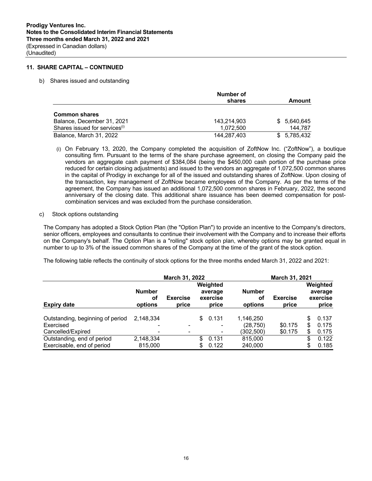# **11. SHARE CAPITAL – CONTINUED**

b) Shares issued and outstanding

|                                           | Number of   |                  |
|-------------------------------------------|-------------|------------------|
|                                           | shares      | Amount           |
| <b>Common shares</b>                      |             |                  |
| Balance, December 31, 2021                | 143,214,903 | 5,640,645<br>SS. |
| Shares issued for services <sup>(i)</sup> | 1.072.500   | 144.787          |
| Balance, March 31, 2022                   | 144.287.403 | 5.785.432<br>S.  |

- (i) On February 13, 2020, the Company completed the acquisition of ZoftNow Inc. ("ZoftNow"), a boutique consulting firm. Pursuant to the terms of the share purchase agreement, on closing the Company paid the vendors an aggregate cash payment of \$384,084 (being the \$450,000 cash portion of the purchase price reduced for certain closing adjustments) and issued to the vendors an aggregate of 1,072,500 common shares in the capital of Prodigy in exchange for all of the issued and outstanding shares of ZoftNow. Upon closing of the transaction, key management of ZoftNow became employees of the Company. As per the terms of the agreement, the Company has issued an additional 1,072,500 common shares in February, 2022, the second anniversary of the closing date. This additional share issuance has been deemed compensation for postcombination services and was excluded from the purchase consideration.
- c) Stock options outstanding

The Company has adopted a Stock Option Plan (the "Option Plan") to provide an incentive to the Company's directors, senior officers, employees and consultants to continue their involvement with the Company and to increase their efforts on the Company's behalf. The Option Plan is a "rolling" stock option plan, whereby options may be granted equal in number to up to 3% of the issued common shares of the Company at the time of the grant of the stock option.

The following table reflects the continuity of stock options for the three months ended March 31, 2022 and 2021:

|                                  | March 31, 2022                 |                          |     | March 31, 2021                           |                                |                          |    |                                          |
|----------------------------------|--------------------------------|--------------------------|-----|------------------------------------------|--------------------------------|--------------------------|----|------------------------------------------|
| <b>Expiry date</b>               | <b>Number</b><br>οt<br>options | <b>Exercise</b><br>price |     | Weighted<br>average<br>exercise<br>price | <b>Number</b><br>οf<br>options | <b>Exercise</b><br>price |    | Weighted<br>average<br>exercise<br>price |
|                                  |                                |                          |     |                                          |                                |                          |    |                                          |
| Outstanding, beginning of period | 2.148.334                      |                          | S.  | 0.131                                    | 1.146.250                      |                          | S  | 0.137                                    |
| Exercised                        |                                |                          |     |                                          | (28, 750)                      | \$0.175                  | S  | 0.175                                    |
| Cancelled/Expired                |                                |                          |     |                                          | (302,500)                      | \$0.175                  | S  | 0.175                                    |
| Outstanding, end of period       | 2,148,334                      |                          | \$. | 0.131                                    | 815,000                        |                          | \$ | 0.122                                    |
| Exercisable, end of period       | 815,000                        |                          | S   | 0.122                                    | 240,000                        |                          | \$ | 0.185                                    |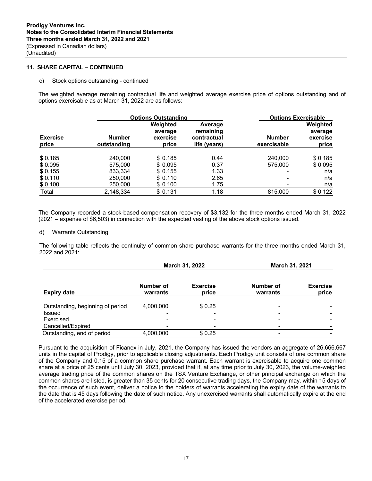# **11. SHARE CAPITAL – CONTINUED**

c) Stock options outstanding - continued

The weighted average remaining contractual life and weighted average exercise price of options outstanding and of options exercisable as at March 31, 2022 are as follows:

| <b>Options Outstanding</b> |                              |                                          |                                                     | <b>Options Exercisable</b>   |                                          |  |
|----------------------------|------------------------------|------------------------------------------|-----------------------------------------------------|------------------------------|------------------------------------------|--|
| <b>Exercise</b><br>price   | <b>Number</b><br>outstanding | Weighted<br>average<br>exercise<br>price | Average<br>remaining<br>contractual<br>life (years) | <b>Number</b><br>exercisable | Weighted<br>average<br>exercise<br>price |  |
| \$0.185                    | 240,000                      | \$0.185                                  | 0.44                                                | 240,000                      | \$0.185                                  |  |
| \$0.095                    | 575,000                      | \$0.095                                  | 0.37                                                | 575,000                      | \$0.095                                  |  |
| \$0.155                    | 833,334                      | \$0.155                                  | 1.33                                                |                              | n/a                                      |  |
| \$0.110                    | 250,000                      | \$0.110                                  | 2.65                                                |                              | n/a                                      |  |
| \$0.100                    | 250,000                      | \$0.100                                  | 1.75                                                |                              | n/a                                      |  |
| Total                      | 2,148,334                    | \$0.131                                  | 1.18                                                | 815,000                      | \$0.122                                  |  |

The Company recorded a stock-based compensation recovery of \$3,132 for the three months ended March 31, 2022 (2021 – expense of \$6,503) in connection with the expected vesting of the above stock options issued.

#### d) Warrants Outstanding

The following table reflects the continuity of common share purchase warrants for the three months ended March 31, 2022 and 2021:

|                                  |                          | March 31, 2022           | March 31, 2021           |                          |  |
|----------------------------------|--------------------------|--------------------------|--------------------------|--------------------------|--|
| <b>Expiry date</b>               | Number of<br>warrants    | <b>Exercise</b><br>price | Number of<br>warrants    | <b>Exercise</b><br>price |  |
| Outstanding, beginning of period | 4,000,000                | \$0.25                   | ۰                        |                          |  |
| Issued                           | $\overline{\phantom{0}}$ | $\overline{\phantom{0}}$ | $\overline{\phantom{0}}$ |                          |  |
| Exercised                        |                          |                          |                          |                          |  |
| Cancelled/Expired                |                          |                          |                          |                          |  |
| Outstanding, end of period       | 4,000,000                | \$0.25                   |                          |                          |  |

Pursuant to the acquisition of Ficanex in July, 2021, the Company has issued the vendors an aggregate of 26,666,667 units in the capital of Prodigy, prior to applicable closing adjustments. Each Prodigy unit consists of one common share of the Company and 0.15 of a common share purchase warrant. Each warrant is exercisable to acquire one common share at a price of 25 cents until July 30, 2023, provided that if, at any time prior to July 30, 2023, the volume-weighted average trading price of the common shares on the TSX Venture Exchange, or other principal exchange on which the common shares are listed, is greater than 35 cents for 20 consecutive trading days, the Company may, within 15 days of the occurrence of such event, deliver a notice to the holders of warrants accelerating the expiry date of the warrants to the date that is 45 days following the date of such notice. Any unexercised warrants shall automatically expire at the end of the accelerated exercise period.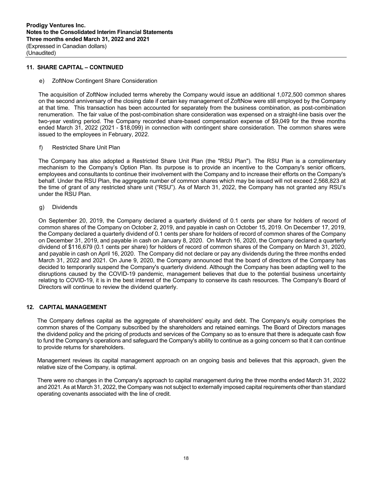# **11. SHARE CAPITAL – CONTINUED**

e) ZoftNow Contingent Share Consideration

The acquisition of ZoftNow included terms whereby the Company would issue an additional 1,072,500 common shares on the second anniversary of the closing date if certain key management of ZoftNow were still employed by the Company at that time. This transaction has been accounted for separately from the business combination, as post-combination renumeration. The fair value of the post-combination share consideration was expensed on a straight-line basis over the two-year vesting period. The Company recorded share-based compensation expense of \$9,049 for the three months ended March 31, 2022 (2021 - \$18,099) in connection with contingent share consideration. The common shares were issued to the employees in February, 2022.

f) Restricted Share Unit Plan

The Company has also adopted a Restricted Share Unit Plan (the "RSU Plan"). The RSU Plan is a complimentary mechanism to the Company's Option Plan. Its purpose is to provide an incentive to the Company's senior officers, employees and consultants to continue their involvement with the Company and to increase their efforts on the Company's behalf. Under the RSU Plan, the aggregate number of common shares which may be issued will not exceed 2,568,823 at the time of grant of any restricted share unit ("RSU"). As of March 31, 2022, the Company has not granted any RSU's under the RSU Plan.

g) Dividends

On September 20, 2019, the Company declared a quarterly dividend of 0.1 cents per share for holders of record of common shares of the Company on October 2, 2019, and payable in cash on October 15, 2019. On December 17, 2019, the Company declared a quarterly dividend of 0.1 cents per share for holders of record of common shares of the Company on December 31, 2019, and payable in cash on January 8, 2020. On March 16, 2020, the Company declared a quarterly dividend of \$116,679 (0.1 cents per share) for holders of record of common shares of the Company on March 31, 2020, and payable in cash on April 16, 2020. The Company did not declare or pay any dividends during the three months ended March 31, 2022 and 2021. On June 9, 2020, the Company announced that the board of directors of the Company has decided to temporarily suspend the Company's quarterly dividend. Although the Company has been adapting well to the disruptions caused by the COVID-19 pandemic, management believes that due to the potential business uncertainty relating to COVID-19, it is in the best interest of the Company to conserve its cash resources. The Company's Board of Directors will continue to review the dividend quarterly.

# **12. CAPITAL MANAGEMENT**

The Company defines capital as the aggregate of shareholders' equity and debt. The Company's equity comprises the common shares of the Company subscribed by the shareholders and retained earnings. The Board of Directors manages the dividend policy and the pricing of products and services of the Company so as to ensure that there is adequate cash flow to fund the Company's operations and safeguard the Company's ability to continue as a going concern so that it can continue to provide returns for shareholders.

Management reviews its capital management approach on an ongoing basis and believes that this approach, given the relative size of the Company, is optimal.

There were no changes in the Company's approach to capital management during the three months ended March 31, 2022 and 2021. As at March 31, 2022, the Company was not subject to externally imposed capital requirements other than standard operating covenants associated with the line of credit.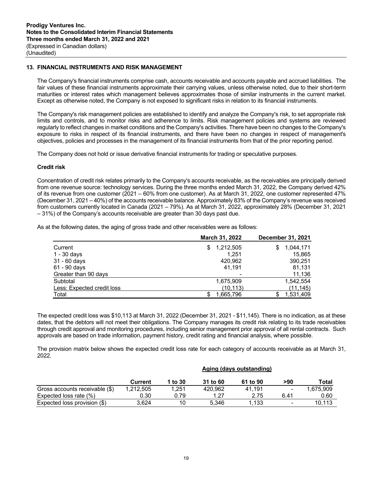# **13. FINANCIAL INSTRUMENTS AND RISK MANAGEMENT**

The Company's financial instruments comprise cash, accounts receivable and accounts payable and accrued liabilities. The fair values of these financial instruments approximate their carrying values, unless otherwise noted, due to their short-term maturities or interest rates which management believes approximates those of similar instruments in the current market. Except as otherwise noted, the Company is not exposed to significant risks in relation to its financial instruments.

The Company's risk management policies are established to identify and analyze the Company's risk, to set appropriate risk limits and controls, and to monitor risks and adherence to limits. Risk management policies and systems are reviewed regularly to reflect changes in market conditions and the Company's activities. There have been no changes to the Company's exposure to risks in respect of its financial instruments, and there have been no changes in respect of management's objectives, policies and processes in the management of its financial instruments from that of the prior reporting period.

The Company does not hold or issue derivative financial instruments for trading or speculative purposes.

### **Credit risk**

Concentration of credit risk relates primarily to the Company's accounts receivable, as the receivables are principally derived from one revenue source: technology services. During the three months ended March 31, 2022, the Company derived 42% of its revenue from one customer (2021 – 60% from one customer). As at March 31, 2022, one customer represented 47% (December 31, 2021 – 40%) of the accounts receivable balance. Approximately 83% of the Company's revenue was received from customers currently located in Canada (2021 – 79%). As at March 31, 2022, approximately 28% (December 31, 2021 – 31%) of the Company's accounts receivable are greater than 30 days past due.

As at the following dates, the aging of gross trade and other receivables were as follows:

|                            | March 31, 2022  | <b>December 31, 2021</b> |  |
|----------------------------|-----------------|--------------------------|--|
| Current                    | 1,212,505<br>S. | 1,044,171<br>S           |  |
| 1 - 30 days                | 1.251           | 15.865                   |  |
| 31 - 60 days               | 420.962         | 390,251                  |  |
| 61 - 90 days               | 41.191          | 81,131                   |  |
| Greater than 90 days       | ۰               | 11,136                   |  |
| Subtotal                   | 1,675,909       | 1,542,554                |  |
| Less: Expected credit loss | (10, 113)       | (11, 145)                |  |
| Total                      | 1,665,796       | 1,531,409                |  |

The expected credit loss was \$10,113 at March 31, 2022 (December 31, 2021 - \$11,145). There is no indication, as at these dates, that the debtors will not meet their obligations. The Company manages its credit risk relating to its trade receivables through credit approval and monitoring procedures, including senior management prior approval of all rental contracts. Such approvals are based on trade information, payment history, credit rating and financial analysis, where possible.

The provision matrix below shows the expected credit loss rate for each category of accounts receivable as at March 31, 2022.

|                                | Aging (days outstanding) |         |          |          |                          |           |
|--------------------------------|--------------------------|---------|----------|----------|--------------------------|-----------|
|                                | Current                  | 1 to 30 | 31 to 60 | 61 to 90 | >90                      | Total     |
| Gross accounts receivable (\$) | 1.212.505                | 1.251   | 420.962  | 41.191   |                          | 1.675.909 |
| Expected loss rate (%)         | 0.30                     | 0.79    | 1.27     | 2.75     | 6.41                     | 0.60      |
| Expected loss provision (\$)   | 3.624                    | 10      | 5.346    | 1,133    | $\overline{\phantom{0}}$ | 10.113    |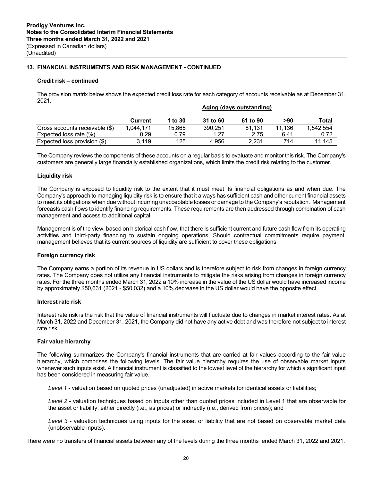# **13. FINANCIAL INSTRUMENTS AND RISK MANAGEMENT - CONTINUED**

# **Credit risk – continued**

The provision matrix below shows the expected credit loss rate for each category of accounts receivable as at December 31, 2021. **Aging (days outstanding)**

|                                | Aging (days outstanding) |         |          |          |        |           |
|--------------------------------|--------------------------|---------|----------|----------|--------|-----------|
|                                | Current                  | 1 to 30 | 31 to 60 | 61 to 90 | >90    | Total     |
| Gross accounts receivable (\$) | 1.044.171                | 15.865  | 390.251  | 81.131   | 11.136 | 1.542.554 |
| Expected loss rate $(\%)$      | 0.29                     | 0.79    | 1 27     | 2.75     | 6.41   | 0.72      |
| Expected loss provision (\$)   | 3.119                    | 125     | 4.956    | 2.231    | 714    | 11.145    |

The Company reviews the components of these accounts on a regular basis to evaluate and monitor this risk. The Company's customers are generally large financially established organizations, which limits the credit risk relating to the customer.

# **Liquidity risk**

The Company is exposed to liquidity risk to the extent that it must meet its financial obligations as and when due. The Company's approach to managing liquidity risk is to ensure that it always has sufficient cash and other current financial assets to meet its obligations when due without incurring unacceptable losses or damage to the Company's reputation. Management forecasts cash flows to identify financing requirements. These requirements are then addressed through combination of cash management and access to additional capital.

Management is of the view, based on historical cash flow, that there is sufficient current and future cash flow from its operating activities and third-party financing to sustain ongoing operations. Should contractual commitments require payment, management believes that its current sources of liquidity are sufficient to cover these obligations.

### **Foreign currency risk**

The Company earns a portion of its revenue in US dollars and is therefore subject to risk from changes in foreign currency rates. The Company does not utilize any financial instruments to mitigate the risks arising from changes in foreign currency rates. For the three months ended March 31, 2022 a 10% increase in the value of the US dollar would have increased income by approximately \$50,631 (2021 - \$50,032) and a 10% decrease in the US dollar would have the opposite effect.

### **Interest rate risk**

Interest rate risk is the risk that the value of financial instruments will fluctuate due to changes in market interest rates. As at March 31, 2022 and December 31, 2021, the Company did not have any active debt and was therefore not subject to interest rate risk.

### **Fair value hierarchy**

The following summarizes the Company's financial instruments that are carried at fair values according to the fair value hierarchy, which comprises the following levels. The fair value hierarchy requires the use of observable market inputs whenever such inputs exist. A financial instrument is classified to the lowest level of the hierarchy for which a significant input has been considered in measuring fair value.

*Level 1* - valuation based on quoted prices (unadjusted) in active markets for identical assets or liabilities;

*Level 2* - valuation techniques based on inputs other than quoted prices included in Level 1 that are observable for the asset or liability, either directly (i.e., as prices) or indirectly (i.e., derived from prices); and

*Level 3* - valuation techniques using inputs for the asset or liability that are not based on observable market data (unobservable inputs).

There were no transfers of financial assets between any of the levels during the three months ended March 31, 2022 and 2021.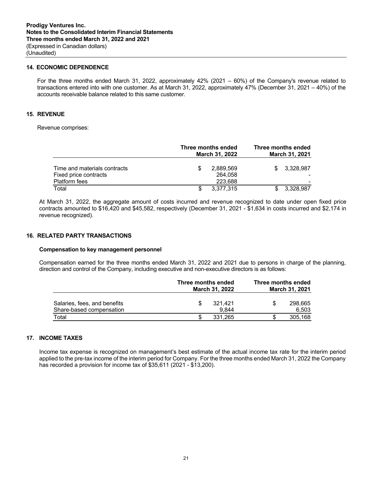### **14. ECONOMIC DEPENDENCE**

For the three months ended March 31, 2022, approximately 42% (2021 – 60%) of the Company's revenue related to transactions entered into with one customer. As at March 31, 2022, approximately 47% (December 31, 2021 – 40%) of the accounts receivable balance related to this same customer.

#### **15. REVENUE**

Revenue comprises:

|                                                                               |   | Three months ended<br>March 31, 2022 |     | Three months ended<br>March 31, 2021 |  |  |
|-------------------------------------------------------------------------------|---|--------------------------------------|-----|--------------------------------------|--|--|
| Time and materials contracts<br>Fixed price contracts<br><b>Platform fees</b> |   | 2,889,569<br>264.058<br>223.688      | \$. | 3.328.987                            |  |  |
| Total                                                                         | S | 3.377.315                            |     | 3,328,987                            |  |  |

At March 31, 2022, the aggregate amount of costs incurred and revenue recognized to date under open fixed price contracts amounted to \$16,420 and \$45,582, respectively (December 31, 2021 - \$1,634 in costs incurred and \$2,174 in revenue recognized).

### **16. RELATED PARTY TRANSACTIONS**

#### **Compensation to key management personnel**

Compensation earned for the three months ended March 31, 2022 and 2021 due to persons in charge of the planning, direction and control of the Company, including executive and non-executive directors is as follows:

|                                   | Three months ended<br>March 31, 2022 |                  | Three months ended<br>March 31, 2021 |                  |
|-----------------------------------|--------------------------------------|------------------|--------------------------------------|------------------|
| Salaries, fees, and benefits      | S                                    | 321.421          | \$.                                  | 298.665          |
| Share-based compensation<br>Total |                                      | 9.844<br>331.265 |                                      | 6.503<br>305,168 |

# **17. INCOME TAXES**

Income tax expense is recognized on management's best estimate of the actual income tax rate for the interim period applied to the pre-tax income of the interim period for Company. For the three months ended March 31, 2022 the Company has recorded a provision for income tax of \$35,611 (2021 - \$13,200).